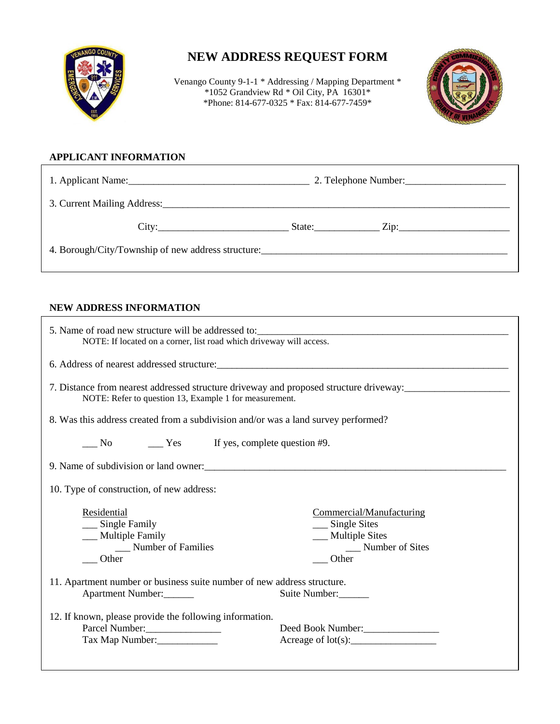

## **NEW ADDRESS REQUEST FORM**

Venango County 9-1-1 \* Addressing / Mapping Department \* \*1052 Grandview Rd \* Oil City, PA 16301\* \*Phone: 814-677-0325 \* Fax: 814-677-7459\*



## **APPLICANT INFORMATION**

| 1. Applicant Name: 1. 2008. [1] Applicant Name:    | 2. Telephone Number: |
|----------------------------------------------------|----------------------|
|                                                    |                      |
| City:                                              | State:               |
| 4. Borough/City/Township of new address structure: |                      |

## **NEW ADDRESS INFORMATION**

| NOTE: If located on a corner, list road which driveway will access.                                                                                                                            |  |  |
|------------------------------------------------------------------------------------------------------------------------------------------------------------------------------------------------|--|--|
| 6. Address of nearest addressed structure:                                                                                                                                                     |  |  |
| 7. Distance from nearest addressed structure driveway and proposed structure driveway:<br>NOTE: Refer to question 13, Example 1 for measurement.                                               |  |  |
| 8. Was this address created from a subdivision and/or was a land survey performed?                                                                                                             |  |  |
| $\frac{1}{2}$ No $\frac{1}{2}$ Yes If yes, complete question #9.                                                                                                                               |  |  |
| 9. Name of subdivision or land owner:                                                                                                                                                          |  |  |
| 10. Type of construction, of new address:                                                                                                                                                      |  |  |
| Residential<br>Commercial/Manufacturing<br>__ Single Family<br>$\_\_$ Single Sites<br>__ Multiple Sites<br>__ Multiple Family<br>__ Number of Families<br>__ Number of Sites<br>Other<br>Other |  |  |
| 11. Apartment number or business suite number of new address structure.<br>Apartment Number:<br>Suite Number:                                                                                  |  |  |
| 12. If known, please provide the following information.<br>Deed Book Number:<br>Tax Map Number:                                                                                                |  |  |